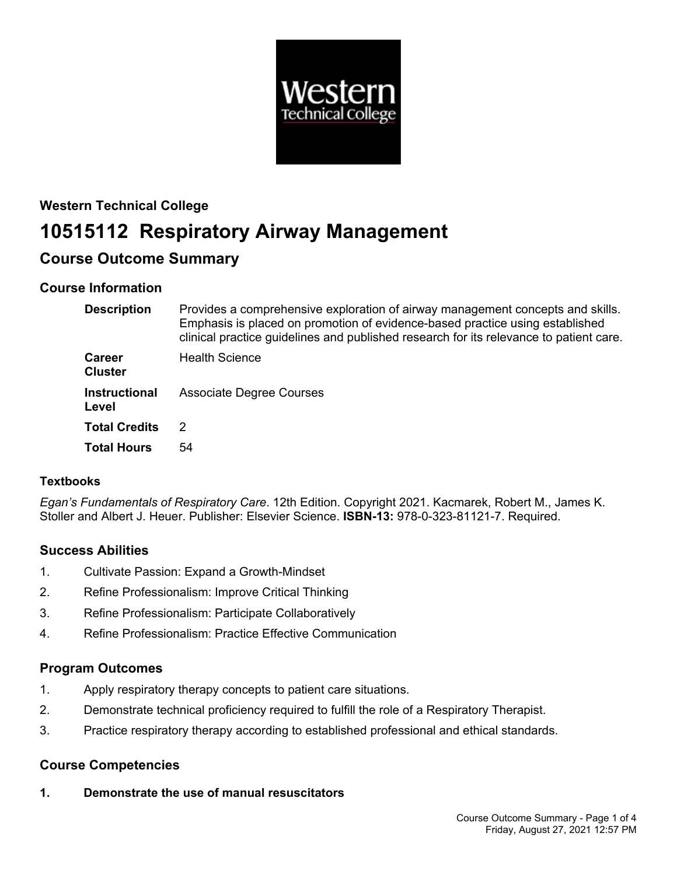

# **Western Technical College 10515112 Respiratory Airway Management Course Outcome Summary**

# **Course Information**

| <b>Description</b>              | Provides a comprehensive exploration of airway management concepts and skills.<br>Emphasis is placed on promotion of evidence-based practice using established<br>clinical practice guidelines and published research for its relevance to patient care. |
|---------------------------------|----------------------------------------------------------------------------------------------------------------------------------------------------------------------------------------------------------------------------------------------------------|
| <b>Career</b><br><b>Cluster</b> | <b>Health Science</b>                                                                                                                                                                                                                                    |
| <b>Instructional</b><br>Level   | <b>Associate Degree Courses</b>                                                                                                                                                                                                                          |
| <b>Total Credits</b>            | 2                                                                                                                                                                                                                                                        |
| <b>Total Hours</b>              | 54                                                                                                                                                                                                                                                       |

# **Textbooks**

*Egan's Fundamentals of Respiratory Care*. 12th Edition. Copyright 2021. Kacmarek, Robert M., James K. Stoller and Albert J. Heuer. Publisher: Elsevier Science. **ISBN-13:** 978-0-323-81121-7. Required.

# **Success Abilities**

- 1. Cultivate Passion: Expand a Growth-Mindset
- 2. Refine Professionalism: Improve Critical Thinking
- 3. Refine Professionalism: Participate Collaboratively
- 4. Refine Professionalism: Practice Effective Communication

# **Program Outcomes**

- 1. Apply respiratory therapy concepts to patient care situations.
- 2. Demonstrate technical proficiency required to fulfill the role of a Respiratory Therapist.
- 3. Practice respiratory therapy according to established professional and ethical standards.

# **Course Competencies**

**1. Demonstrate the use of manual resuscitators**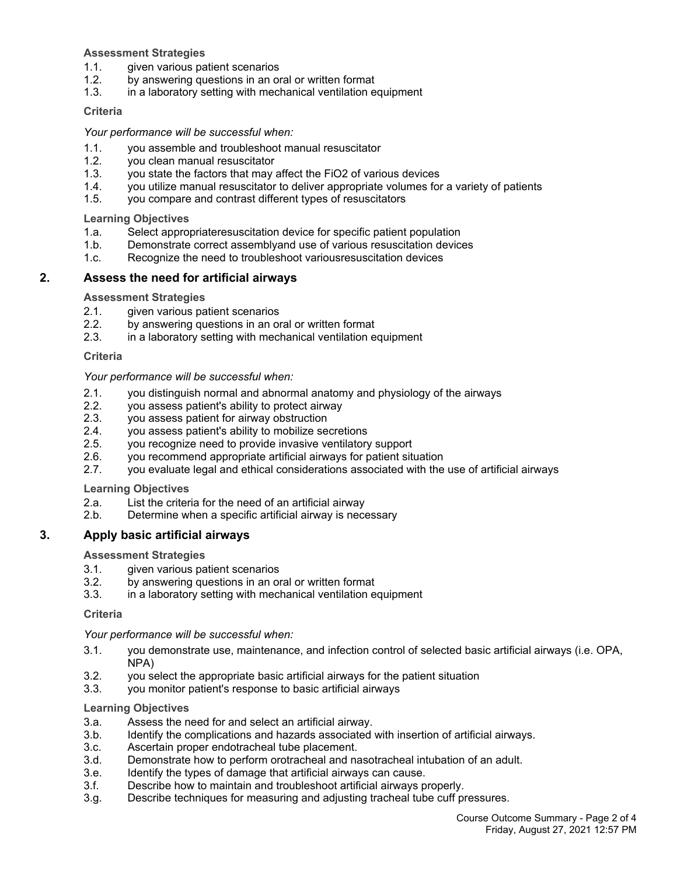#### **Assessment Strategies**

- 1.1. given various patient scenarios
- 1.2. by answering questions in an oral or written format
- 1.3. in a laboratory setting with mechanical ventilation equipment

#### **Criteria**

#### *Your performance will be successful when:*

- 1.1. you assemble and troubleshoot manual resuscitator
- 1.2. you clean manual resuscitator
- 1.3. you state the factors that may affect the FiO2 of various devices
- 1.4. you utilize manual resuscitator to deliver appropriate volumes for a variety of patients
- 1.5. you compare and contrast different types of resuscitators

**Learning Objectives**

- 1.a. Select appropriateresuscitation device for specific patient population
- 1.b. Demonstrate correct assemblyand use of various resuscitation devices
- 1.c. Recognize the need to troubleshoot variousresuscitation devices

## **2. Assess the need for artificial airways**

**Assessment Strategies**

- 2.1. given various patient scenarios
- 2.2. by answering questions in an oral or written format
- 2.3. in a laboratory setting with mechanical ventilation equipment

#### **Criteria**

#### *Your performance will be successful when:*

- 2.1. you distinguish normal and abnormal anatomy and physiology of the airways
- 2.2. you assess patient's ability to protect airway
- 2.3. you assess patient for airway obstruction
- 2.4. you assess patient's ability to mobilize secretions
- 2.5. you recognize need to provide invasive ventilatory support
- 2.6. you recommend appropriate artificial airways for patient situation
- 2.7. you evaluate legal and ethical considerations associated with the use of artificial airways

## **Learning Objectives**

- 2.a. List the criteria for the need of an artificial airway
- 2.b. Determine when a specific artificial airway is necessary

## **3. Apply basic artificial airways**

#### **Assessment Strategies**

- 3.1. given various patient scenarios
- 3.2. by answering questions in an oral or written format
- 3.3. in a laboratory setting with mechanical ventilation equipment

#### **Criteria**

## *Your performance will be successful when:*

- 3.1. you demonstrate use, maintenance, and infection control of selected basic artificial airways (i.e. OPA, NPA)
- 3.2. you select the appropriate basic artificial airways for the patient situation
- 3.3. you monitor patient's response to basic artificial airways

## **Learning Objectives**

- 3.a. Assess the need for and select an artificial airway.
- 3.b. Identify the complications and hazards associated with insertion of artificial airways.
- 3.c. Ascertain proper endotracheal tube placement.
- 3.d. Demonstrate how to perform orotracheal and nasotracheal intubation of an adult.
- 3.e. Identify the types of damage that artificial airways can cause.
- 3.f. Describe how to maintain and troubleshoot artificial airways properly.
- 3.g. Describe techniques for measuring and adjusting tracheal tube cuff pressures.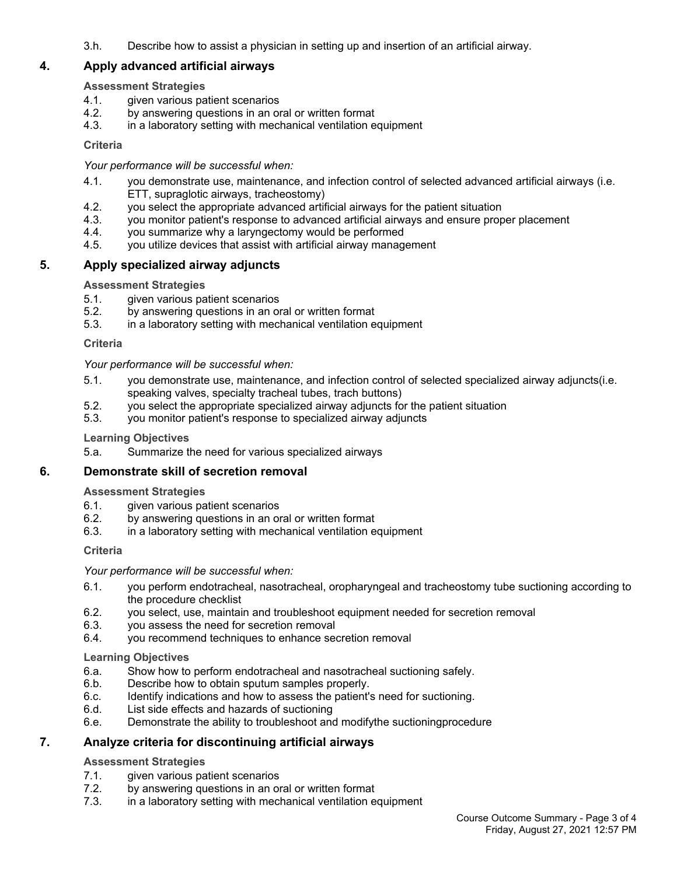3.h. Describe how to assist a physician in setting up and insertion of an artificial airway.

# **4. Apply advanced artificial airways**

## **Assessment Strategies**

- 4.1. given various patient scenarios
- 4.2. by answering questions in an oral or written format
- 4.3. in a laboratory setting with mechanical ventilation equipment

## **Criteria**

## *Your performance will be successful when:*

- 4.1. you demonstrate use, maintenance, and infection control of selected advanced artificial airways (i.e. ETT, supraglotic airways, tracheostomy)
- 4.2. you select the appropriate advanced artificial airways for the patient situation
- 4.3. you monitor patient's response to advanced artificial airways and ensure proper placement
- 4.4. you summarize why a laryngectomy would be performed
- 4.5. you utilize devices that assist with artificial airway management

# **5. Apply specialized airway adjuncts**

# **Assessment Strategies**

- 5.1. given various patient scenarios
- 5.2. by answering questions in an oral or written format
- 5.3. in a laboratory setting with mechanical ventilation equipment

## **Criteria**

## *Your performance will be successful when:*

- 5.1. you demonstrate use, maintenance, and infection control of selected specialized airway adjuncts(i.e. speaking valves, specialty tracheal tubes, trach buttons)
- 5.2. you select the appropriate specialized airway adjuncts for the patient situation
- 5.3. you monitor patient's response to specialized airway adjuncts

## **Learning Objectives**

5.a. Summarize the need for various specialized airways

## **6. Demonstrate skill of secretion removal**

## **Assessment Strategies**

- 6.1. given various patient scenarios<br>6.2. by answering questions in an or
- by answering questions in an oral or written format
- 6.3. in a laboratory setting with mechanical ventilation equipment

## **Criteria**

## *Your performance will be successful when:*

- 6.1. you perform endotracheal, nasotracheal, oropharyngeal and tracheostomy tube suctioning according to the procedure checklist
- 6.2. you select, use, maintain and troubleshoot equipment needed for secretion removal
- 6.3. you assess the need for secretion removal
- 6.4. you recommend techniques to enhance secretion removal

## **Learning Objectives**

- 6.a. Show how to perform endotracheal and nasotracheal suctioning safely.
- 6.b. Describe how to obtain sputum samples properly.
- 6.c. Identify indications and how to assess the patient's need for suctioning.
- 6.d. List side effects and hazards of suctioning
- 6.e. Demonstrate the ability to troubleshoot and modifythe suctioningprocedure

# **7. Analyze criteria for discontinuing artificial airways**

## **Assessment Strategies**

- 7.1. given various patient scenarios
- 7.2. by answering questions in an oral or written format
- 7.3. in a laboratory setting with mechanical ventilation equipment